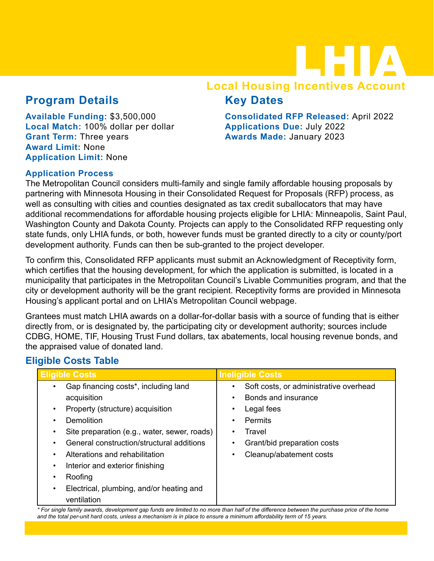## LHIA **Local Housing Incentives Account**

### **Program Details**

**Available Funding:** \$3,500,000 **Local Match:** 100% dollar per dollar **Grant Term:** Three years **Award Limit:** None **Application Limit:** None

#### **Consolidated RFP Released:** April 2022 **Applications Due:** July 2022 **Awards Made:** January 2023

#### **Application Process**

The Metropolitan Council considers multi-family and single family affordable housing proposals by partnering with Minnesota Housing in their Consolidated Request for Proposals (RFP) process, as well as consulting with cities and counties designated as tax credit suballocators that may have additional recommendations for affordable housing projects eligible for LHIA: Minneapolis, Saint Paul, Washington County and Dakota County. Projects can apply to the Consolidated RFP requesting only state funds, only LHIA funds, or both, however funds must be granted directly to a city or county/port development authority. Funds can then be sub-granted to the project developer.

**Key Dates**

To confirm this, Consolidated RFP applicants must submit an Acknowledgment of Receptivity form, which certifies that the housing development, for which the application is submitted, is located in a municipality that participates in the Metropolitan Council's Livable Communities program, and that the city or development authority will be the grant recipient. Receptivity forms are provided in Minnesota Housing's applicant portal and on LHIA's Metropolitan Council webpage.

Grantees must match LHIA awards on a dollar-for-dollar basis with a source of funding that is either directly from, or is designated by, the participating city or development authority; sources include CDBG, HOME, TIF, Housing Trust Fund dollars, tax abatements, local housing revenue bonds, and the appraised value of donated land.

#### **Eligible Costs Table**

| <b>Eligible Costs</b>                                   | <b>Ineligible Costs</b>                     |  |
|---------------------------------------------------------|---------------------------------------------|--|
| Gap financing costs*, including land                    | Soft costs, or administrative overhead<br>٠ |  |
| acquisition                                             | Bonds and insurance                         |  |
| Property (structure) acquisition                        | Legal fees<br>٠                             |  |
| Demolition                                              | <b>Permits</b><br>$\bullet$                 |  |
| Site preparation (e.g., water, sewer, roads)            | Travel<br>$\bullet$                         |  |
| General construction/structural additions               | Grant/bid preparation costs<br>٠            |  |
| Alterations and rehabilitation                          | Cleanup/abatement costs<br>٠                |  |
| Interior and exterior finishing<br>٠                    |                                             |  |
| Roofing                                                 |                                             |  |
| Electrical, plumbing, and/or heating and<br>ventilation |                                             |  |

*\* For single family awards, development gap funds are limited to no more than half of the difference between the purchase price of the home and the total per-unit hard costs, unless a mechanism is in place to ensure a minimum affordability term of 15 years.*